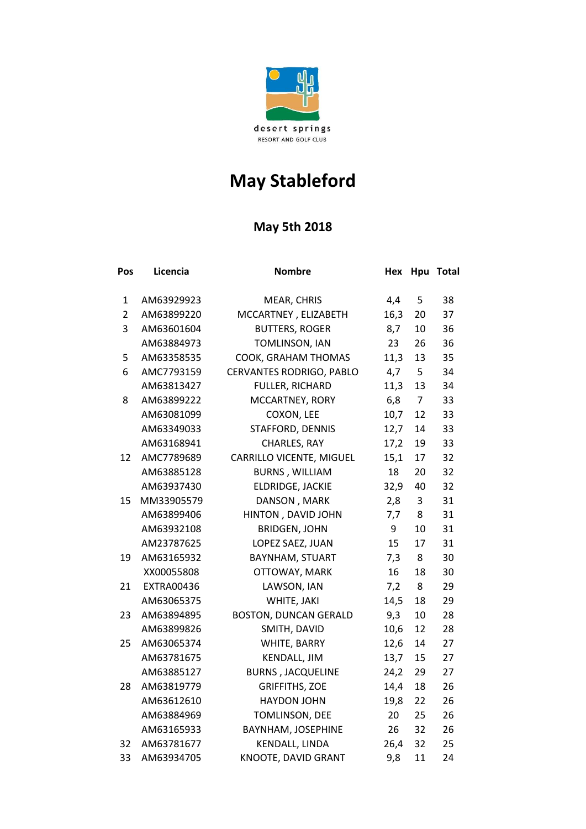

## **May Stableford**

## **May 5th 2018**

| Pos            | Licencia          | <b>Nombre</b>                   | Hex  |                | Hpu Total |
|----------------|-------------------|---------------------------------|------|----------------|-----------|
| 1              | AM63929923        | MEAR, CHRIS                     | 4,4  | 5              | 38        |
| $\overline{2}$ | AM63899220        | MCCARTNEY, ELIZABETH            | 16,3 | 20             | 37        |
| 3              | AM63601604        | <b>BUTTERS, ROGER</b>           | 8,7  | 10             | 36        |
|                | AM63884973        | TOMLINSON, IAN                  | 23   | 26             | 36        |
| 5              | AM63358535        | COOK, GRAHAM THOMAS             | 11,3 | 13             | 35        |
| 6              | AMC7793159        | CERVANTES RODRIGO, PABLO        | 4,7  | 5              | 34        |
|                | AM63813427        | FULLER, RICHARD                 | 11,3 | 13             | 34        |
| 8              | AM63899222        | MCCARTNEY, RORY                 | 6,8  | $\overline{7}$ | 33        |
|                | AM63081099        | COXON, LEE                      | 10,7 | 12             | 33        |
|                | AM63349033        | STAFFORD, DENNIS                | 12,7 | 14             | 33        |
|                | AM63168941        | CHARLES, RAY                    | 17,2 | 19             | 33        |
| 12             | AMC7789689        | <b>CARRILLO VICENTE, MIGUEL</b> | 15,1 | 17             | 32        |
|                | AM63885128        | <b>BURNS, WILLIAM</b>           | 18   | 20             | 32        |
|                | AM63937430        | ELDRIDGE, JACKIE                | 32,9 | 40             | 32        |
| 15             | MM33905579        | DANSON, MARK                    | 2,8  | 3              | 31        |
|                | AM63899406        | HINTON, DAVID JOHN              | 7,7  | 8              | 31        |
|                | AM63932108        | <b>BRIDGEN, JOHN</b>            | 9    | 10             | 31        |
|                | AM23787625        | LOPEZ SAEZ, JUAN                | 15   | 17             | 31        |
| 19             | AM63165932        | BAYNHAM, STUART                 | 7,3  | 8              | 30        |
|                | XX00055808        | OTTOWAY, MARK                   | 16   | 18             | 30        |
| 21             | <b>EXTRA00436</b> | LAWSON, IAN                     | 7,2  | 8              | 29        |
|                | AM63065375        | WHITE, JAKI                     | 14,5 | 18             | 29        |
| 23             | AM63894895        | <b>BOSTON, DUNCAN GERALD</b>    | 9,3  | 10             | 28        |
|                | AM63899826        | SMITH, DAVID                    | 10,6 | 12             | 28        |
| 25             | AM63065374        | WHITE, BARRY                    | 12,6 | 14             | 27        |
|                | AM63781675        | <b>KENDALL, JIM</b>             | 13,7 | 15             | 27        |
|                | AM63885127        | <b>BURNS, JACQUELINE</b>        | 24,2 | 29             | 27        |
| 28             | AM63819779        | <b>GRIFFITHS, ZOE</b>           | 14,4 | 18             | 26        |
|                | AM63612610        | <b>HAYDON JOHN</b>              | 19,8 | 22             | 26        |
|                | AM63884969        | TOMLINSON, DEE                  | 20   | 25             | 26        |
|                | AM63165933        | BAYNHAM, JOSEPHINE              | 26   | 32             | 26        |
| 32             | AM63781677        | KENDALL, LINDA                  | 26,4 | 32             | 25        |
| 33             | AM63934705        | KNOOTE, DAVID GRANT             | 9,8  | 11             | 24        |